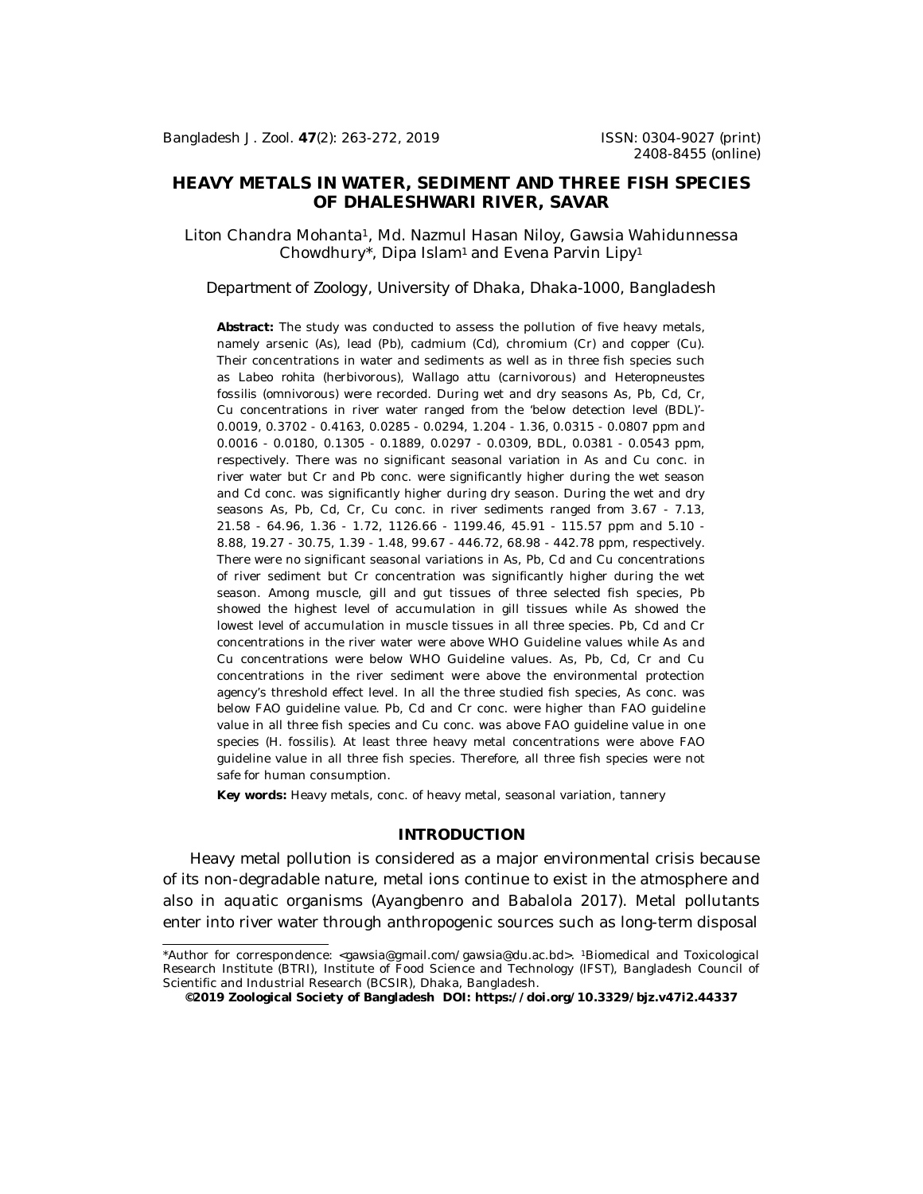# **HEAVY METALS IN WATER, SEDIMENT AND THREE FISH SPECIES OF DHALESHWARI RIVER, SAVAR**

Liton Chandra Mohanta1, Md. Nazmul Hasan Niloy, Gawsia Wahidunnessa Chowdhury\*, Dipa Islam<sup>1</sup> and Evena Parvin Lipy<sup>1</sup>

## *Department of Zoology, University of Dhaka, Dhaka-1000, Bangladesh*

**Abstract:** The study was conducted to assess the pollution of five heavy metals, namely arsenic (As), lead (Pb), cadmium (Cd), chromium (Cr) and copper (Cu). Their concentrations in water and sediments as well as in three fish species such as *Labeo rohita* (herbivorous)*, Wallago attu* (carnivorous) and *Heteropneustes fossilis* (omnivorous) were recorded. During wet and dry seasons As, Pb, Cd, Cr, Cu concentrations in river water ranged from the 'below detection level (BDL)'- 0.0019, 0.3702 - 0.4163, 0.0285 - 0.0294, 1.204 - 1.36, 0.0315 - 0.0807 ppm and 0.0016 - 0.0180, 0.1305 - 0.1889, 0.0297 - 0.0309, BDL, 0.0381 - 0.0543 ppm, respectively. There was no significant seasonal variation in As and Cu conc. in river water but Cr and Pb conc. were significantly higher during the wet season and Cd conc. was significantly higher during dry season. During the wet and dry seasons As, Pb, Cd, Cr, Cu conc. in river sediments ranged from 3.67 - 7.13, 21.58 - 64.96, 1.36 - 1.72, 1126.66 - 1199.46, 45.91 - 115.57 ppm and 5.10 - 8.88, 19.27 - 30.75, 1.39 - 1.48, 99.67 - 446.72, 68.98 - 442.78 ppm, respectively. There were no significant seasonal variations in As, Pb, Cd and Cu concentrations of river sediment but Cr concentration was significantly higher during the wet season. Among muscle, gill and gut tissues of three selected fish species, Pb showed the highest level of accumulation in gill tissues while As showed the lowest level of accumulation in muscle tissues in all three species. Pb, Cd and Cr concentrations in the river water were above WHO Guideline values while As and Cu concentrations were below WHO Guideline values. As, Pb, Cd, Cr and Cu concentrations in the river sediment were above the environmental protection agency's threshold effect level. In all the three studied fish species, As conc. was below FAO guideline value. Pb, Cd and Cr conc. were higher than FAO guideline value in all three fish species and Cu conc. was above FAO guideline value in one species (*H. fossilis*). At least three heavy metal concentrations were above FAO guideline value in all three fish species. Therefore, all three fish species were not safe for human consumption.

*Key words:* Heavy metals, conc. of heavy metal, seasonal variation, tannery

## **INTRODUCTION**

Heavy metal pollution is considered as a major environmental crisis because of its non-degradable nature, metal ions continue to exist in the atmosphere and also in aquatic organisms (Ayangbenro and Babalola 2017). Metal pollutants enter into river water through anthropogenic sources such as long-term disposal

<sup>\*</sup>Author for correspondence: [<gawsia@gmail.com/gawsia@du.ac.bd](mailto:gawsia@gmail.com/gawsia@du.ac.bd)>. <sup>1</sup>Biomedical and Toxicological Research Institute (BTRI), Institute of Food Science and Technology (IFST), Bangladesh Council of Scientific and Industrial Research (BCSIR), Dhaka, Bangladesh.

**<sup>©2019</sup> Zoological Society of Bangladesh DOI:<https://doi.org/10.3329/bjz.v47i2.44337>**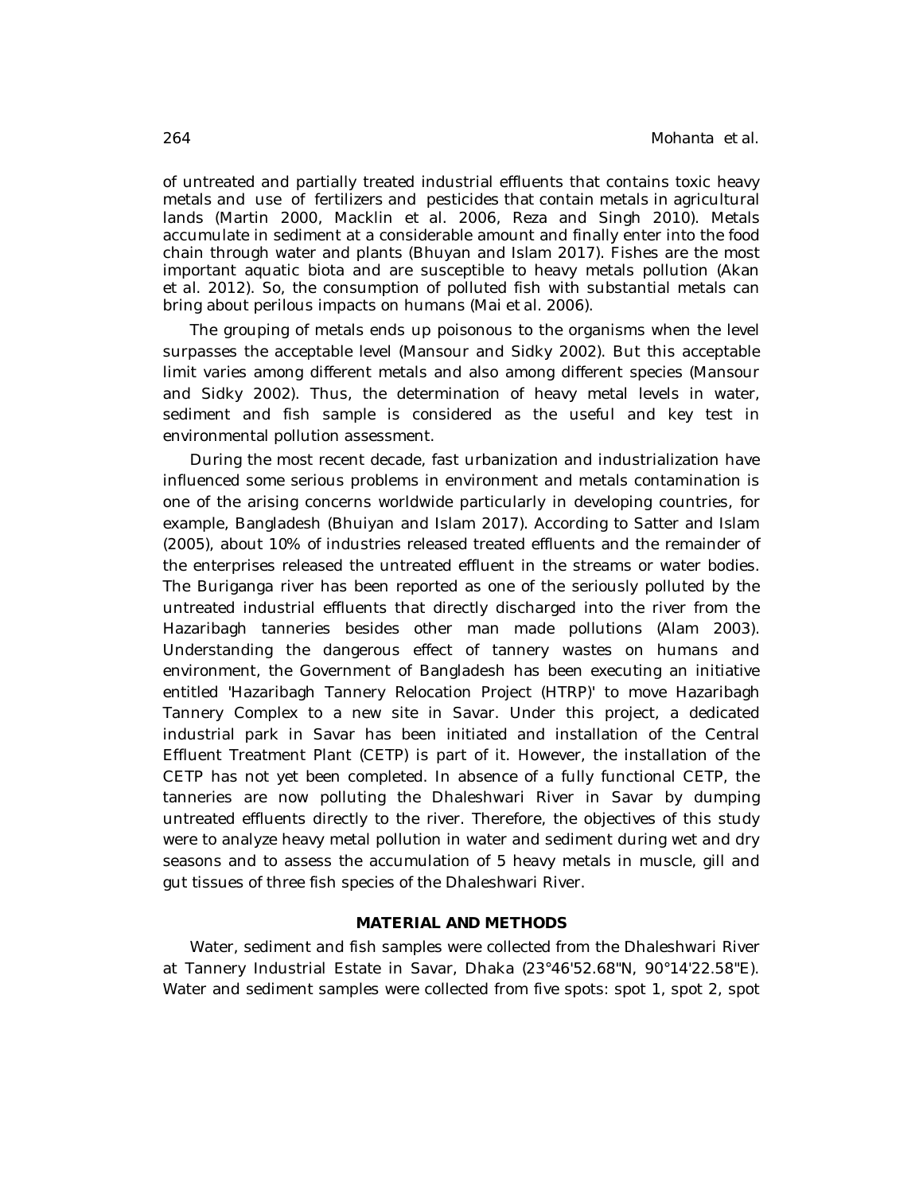of untreated and partially treated industrial effluents that contains toxic heavy metals and use of fertilizers and pesticides that contain metals in agricultural lands (Martin 2000, Macklin *et al*. 2006, Reza and Singh 2010). Metals accumulate in sediment at a considerable amount and finally enter into the food chain through water and plants (Bhuyan and Islam 2017). Fishes are the most important aquatic biota and are susceptible to heavy metals pollution (Akan *et al*. 2012). So, the consumption of polluted fish with substantial metals can bring about perilous impacts on humans (Mai *et al*. 2006).

The grouping of metals ends up poisonous to the organisms when the level surpasses the acceptable level (Mansour and Sidky 2002). But this acceptable limit varies among different metals and also among different species (Mansour and Sidky 2002). Thus, the determination of heavy metal levels in water, sediment and fish sample is considered as the useful and key test in environmental pollution assessment.

During the most recent decade, fast urbanization and industrialization have influenced some serious problems in environment and metals contamination is one of the arising concerns worldwide particularly in developing countries, for example, Bangladesh (Bhuiyan and Islam 2017). According to Satter and Islam (2005), about 10% of industries released treated effluents and the remainder of the enterprises released the untreated effluent in the streams or water bodies. The Buriganga river has been reported as one of the seriously polluted by the untreated industrial effluents that directly discharged into the river from the Hazaribagh tanneries besides other man made pollutions (Alam 2003). Understanding the dangerous effect of tannery wastes on humans and environment, the Government of Bangladesh has been executing an initiative entitled 'Hazaribagh Tannery Relocation Project (HTRP)' to move Hazaribagh Tannery Complex to a new site in Savar. Under this project, a dedicated industrial park in Savar has been initiated and installation of the Central Effluent Treatment Plant (CETP) is part of it. However, the installation of the CETP has not yet been completed. In absence of a fully functional CETP, the tanneries are now polluting the Dhaleshwari River in Savar by dumping untreated effluents directly to the river. Therefore, the objectives of this study were to analyze heavy metal pollution in water and sediment during wet and dry seasons and to assess the accumulation of 5 heavy metals in muscle, gill and gut tissues of three fish species of the Dhaleshwari River.

## **MATERIAL AND METHODS**

Water, sediment and fish samples were collected from the Dhaleshwari River at Tannery Industrial Estate in Savar, Dhaka (23°46'52.68"N, 90°14'22.58"E). Water and sediment samples were collected from five spots: spot 1, spot 2, spot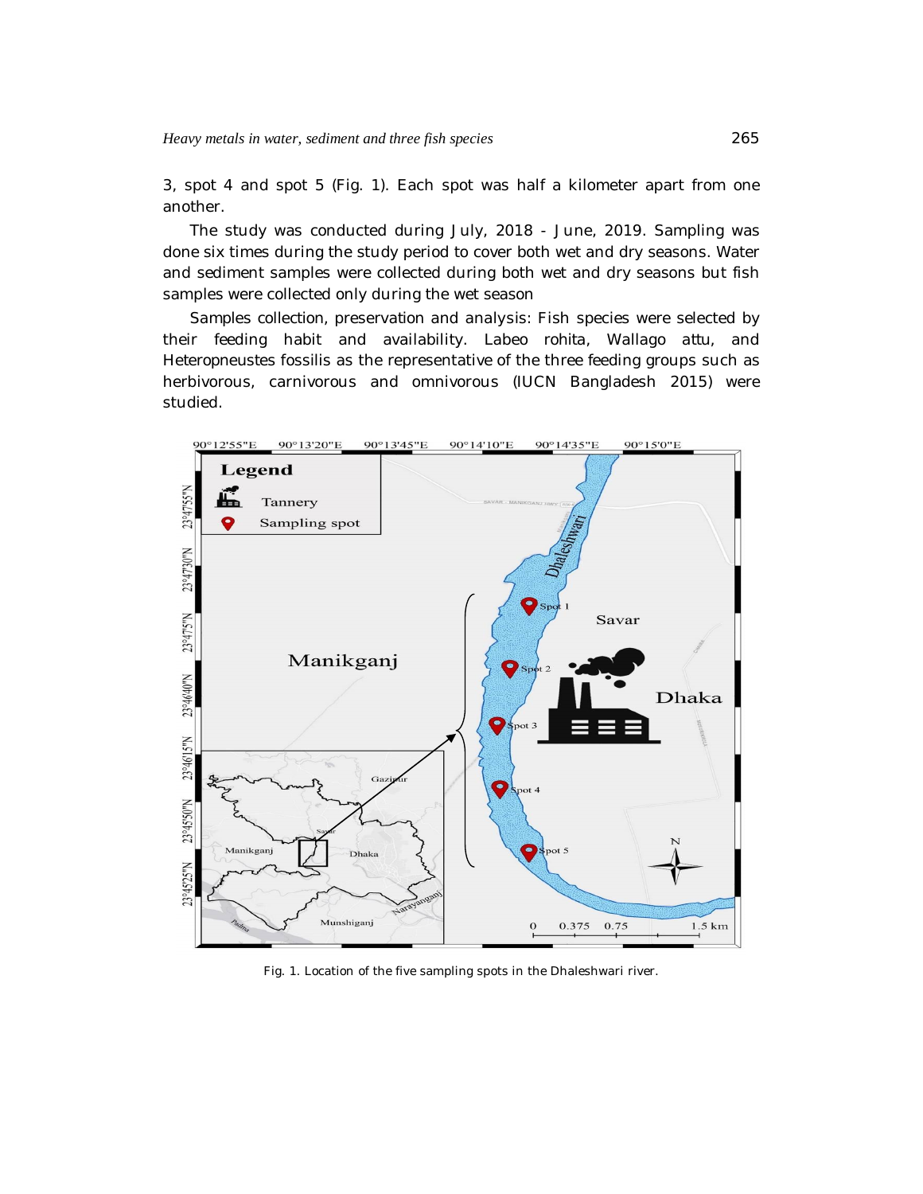3, spot 4 and spot 5 (Fig. 1). Each spot was half a kilometer apart from one another.

The study was conducted during July, 2018 - June, 2019. Sampling was done six times during the study period to cover both wet and dry seasons. Water and sediment samples were collected during both wet and dry seasons but fish samples were collected only during the wet season

*Samples collection, preservation and analysis:* Fish species were selected by their feeding habit and availability. *Labeo rohita, Wallago attu,* and *Heteropneustes fossilis* as the representative of the three feeding groups such as herbivorous, carnivorous and omnivorous (IUCN Bangladesh 2015) were studied.



Fig. 1. Location of the five sampling spots in the Dhaleshwari river.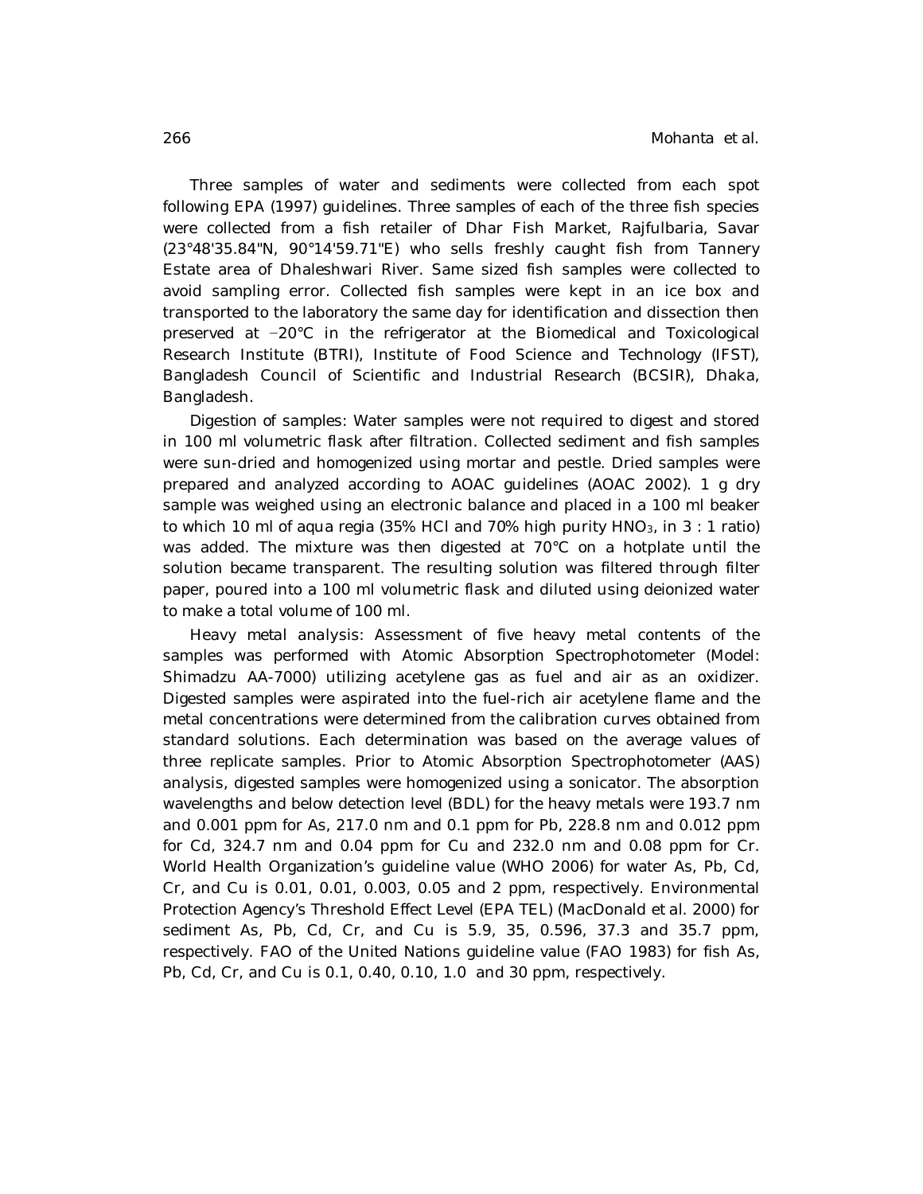Three samples of water and sediments were collected from each spot following EPA (1997) guidelines. Three samples of each of the three fish species were collected from a fish retailer of Dhar Fish Market, Rajfulbaria, Savar (23°48'35.84"N, 90°14'59.71"E) who sells freshly caught fish from Tannery Estate area of Dhaleshwari River. Same sized fish samples were collected to avoid sampling error. Collected fish samples were kept in an ice box and transported to the laboratory the same day for identification and dissection then preserved at −20°C in the refrigerator at the Biomedical and Toxicological Research Institute (BTRI), Institute of Food Science and Technology (IFST), Bangladesh Council of Scientific and Industrial Research (BCSIR), Dhaka, Bangladesh.

*Digestion of samples*: Water samples were not required to digest and stored in 100 ml volumetric flask after filtration. Collected sediment and fish samples were sun-dried and homogenized using mortar and pestle. Dried samples were prepared and analyzed according to AOAC guidelines (AOAC 2002). 1 g dry sample was weighed using an electronic balance and placed in a 100 ml beaker to which 10 ml of aqua regia (35% HCl and 70% high purity  $HNO<sub>3</sub>$ , in 3 : 1 ratio) was added. The mixture was then digested at 70°C on a hotplate until the solution became transparent. The resulting solution was filtered through filter paper, poured into a 100 ml volumetric flask and diluted using deionized water to make a total volume of 100 ml.

*Heavy metal analysis*: Assessment of five heavy metal contents of the samples was performed with Atomic Absorption Spectrophotometer (Model: Shimadzu AA-7000) utilizing acetylene gas as fuel and air as an oxidizer. Digested samples were aspirated into the fuel-rich air acetylene flame and the metal concentrations were determined from the calibration curves obtained from standard solutions. Each determination was based on the average values of three replicate samples. Prior to Atomic Absorption Spectrophotometer (AAS) analysis, digested samples were homogenized using a sonicator. The absorption wavelengths and below detection level (BDL) for the heavy metals were 193.7 nm and 0.001 ppm for As, 217.0 nm and 0.1 ppm for Pb, 228.8 nm and 0.012 ppm for Cd, 324.7 nm and 0.04 ppm for Cu and 232.0 nm and 0.08 ppm for Cr. World Health Organization's guideline value (WHO 2006) for water As, Pb, Cd, Cr, and Cu is 0.01, 0.01, 0.003, 0.05 and 2 ppm, respectively. Environmental Protection Agency's Threshold Effect Level (EPA TEL) (MacDonald *et al.* 2000) for sediment As, Pb, Cd, Cr, and Cu is 5.9, 35, 0.596, 37.3 and 35.7 ppm, respectively. FAO of the United Nations guideline value (FAO 1983) for fish As, Pb, Cd, Cr, and Cu is 0.1, 0.40, 0.10, 1.0 and 30 ppm, respectively.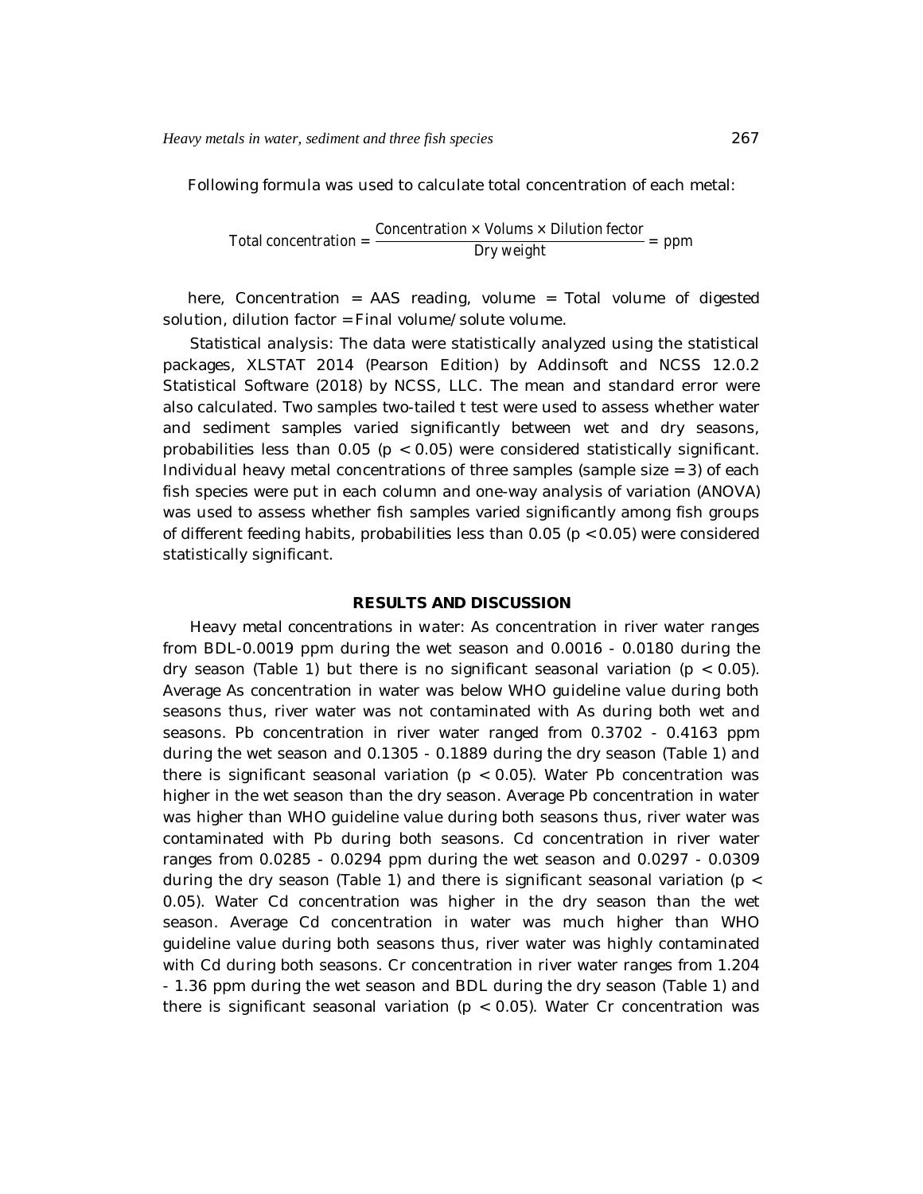Following formula was used to calculate total concentration of each metal:

Total concentration = 
$$
\frac{\text{Concentration} \times \text{Volumes} \times \text{Dilution factor}}{\text{Dry weight}} = \text{ppm}
$$

here, Concentration = AAS reading, volume = Total volume of digested solution, dilution factor = Final volume/solute volume.

*Statistical analysis*: The data were statistically analyzed using the statistical packages, XLSTAT 2014 (Pearson Edition) by Addinsoft and NCSS 12.0.2 Statistical Software (2018) by NCSS, LLC. The mean and standard error were also calculated. Two samples two-tailed t test were used to assess whether water and sediment samples varied significantly between wet and dry seasons, probabilities less than 0.05 (p < 0.05) were considered statistically significant. Individual heavy metal concentrations of three samples (sample size  $=$  3) of each fish species were put in each column and one-way analysis of variation (ANOVA) was used to assess whether fish samples varied significantly among fish groups of different feeding habits, probabilities less than  $0.05$  ( $p < 0.05$ ) were considered statistically significant.

## **RESULTS AND DISCUSSION**

*Heavy metal concentrations in water*: As concentration in river water ranges from BDL-0.0019 ppm during the wet season and 0.0016 - 0.0180 during the dry season (Table 1) but there is no significant seasonal variation ( $p < 0.05$ ). Average As concentration in water was below WHO guideline value during both seasons thus, river water was not contaminated with As during both wet and seasons. Pb concentration in river water ranged from 0.3702 - 0.4163 ppm during the wet season and 0.1305 - 0.1889 during the dry season (Table 1) and there is significant seasonal variation ( $p < 0.05$ ). Water Pb concentration was higher in the wet season than the dry season. Average Pb concentration in water was higher than WHO guideline value during both seasons thus, river water was contaminated with Pb during both seasons. Cd concentration in river water ranges from 0.0285 - 0.0294 ppm during the wet season and 0.0297 - 0.0309 during the dry season (Table 1) and there is significant seasonal variation ( $p \lt$ 0.05). Water Cd concentration was higher in the dry season than the wet season. Average Cd concentration in water was much higher than WHO guideline value during both seasons thus, river water was highly contaminated with Cd during both seasons. Cr concentration in river water ranges from 1.204 - 1.36 ppm during the wet season and BDL during the dry season (Table 1) and there is significant seasonal variation ( $p < 0.05$ ). Water Cr concentration was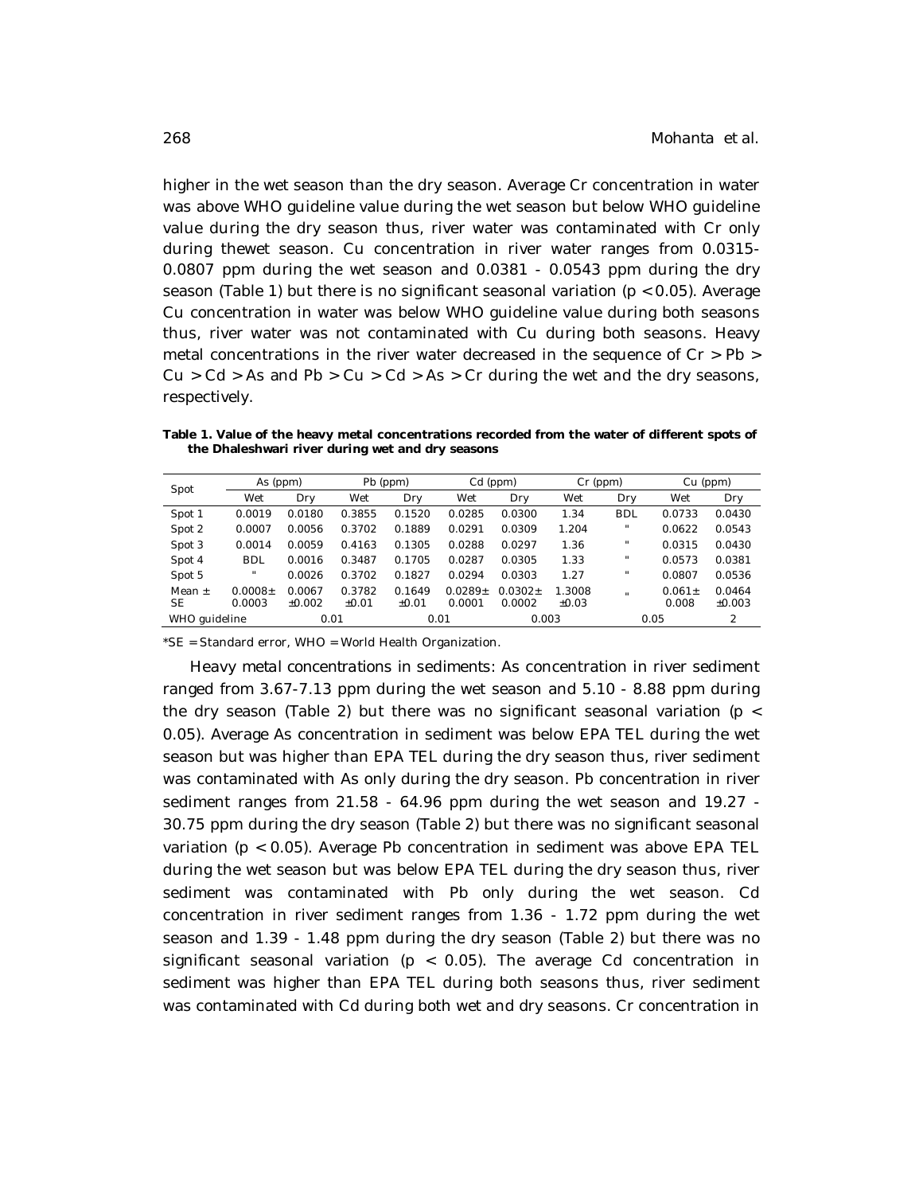higher in the wet season than the dry season. Average Cr concentration in water was above WHO guideline value during the wet season but below WHO guideline value during the dry season thus, river water was contaminated with Cr only during thewet season. Cu concentration in river water ranges from 0.0315- 0.0807 ppm during the wet season and 0.0381 - 0.0543 ppm during the dry season (Table 1) but there is no significant seasonal variation (p < 0.05). Average Cu concentration in water was below WHO guideline value during both seasons thus, river water was not contaminated with Cu during both seasons. Heavy metal concentrations in the river water decreased in the sequence of Cr > Pb >  $Cu > Cd > As$  and Pb  $> Cu > Cd > As > Cr$  during the wet and the dry seasons, respectively.

**Table 1. Value of the heavy metal concentrations recorded from the water of different spots of the Dhaleshwari river during wet and dry seasons**

| Spot          | As (ppm)            |          | Pb (ppm) |         | Cd (ppm)    |             | $Cr$ (ppm) |              | Cu (ppm)    |        |
|---------------|---------------------|----------|----------|---------|-------------|-------------|------------|--------------|-------------|--------|
|               | Wet                 | Dry      | Wet      | Dry     | Wet         | Dry         | Wet        | Dry          | Wet         | Dry    |
| Spot 1        | 0.0019              | 0.0180   | 0.3855   | 0.1520  | 0.0285      | 0.0300      | 1.34       | <b>BDL</b>   | 0.0733      | 0.0430 |
| Spot 2        | 0.0007              | 0.0056   | 0.3702   | 0.1889  | 0.0291      | 0.0309      | 1.204      | $\mathbf{H}$ | 0.0622      | 0.0543 |
| Spot 3        | 0.0014              | 0.0059   | 0.4163   | 0.1305  | 0.0288      | 0.0297      | 1.36       | $\mathbf{H}$ | 0.0315      | 0.0430 |
| Spot 4        | <b>BDL</b>          | 0.0016   | 0.3487   | 0.1705  | 0.0287      | 0.0305      | 1.33       | $\mathbf{u}$ | 0.0573      | 0.0381 |
| Spot 5        | $\mathbf{H}$        | 0.0026   | 0.3702   | 0.1827  | 0.0294      | 0.0303      | 1.27       | $\mathbf{u}$ | 0.0807      | 0.0536 |
| Mean $\pm$    | 0.0008 <sub>±</sub> | 0.0067   | 0.3782   | 0.1649  | $0.0289\pm$ | $0.0302\pm$ | 1.3008     |              | $0.061 \pm$ | 0.0464 |
| <b>SE</b>     | 0.0003              | $+0.002$ | $+0.01$  | $+0.01$ | 0.0001      | 0.0002      | ±0.03      |              | 0.008       | ±0.003 |
| WHO guideline |                     | 0.01     |          | 0.01    |             | 0.003       |            | 0.05         |             | 2      |

\*SE = Standard error, WHO = World Health Organization.

*Heavy metal concentrations in sediments*: As concentration in river sediment ranged from 3.67-7.13 ppm during the wet season and 5.10 - 8.88 ppm during the dry season (Table 2) but there was no significant seasonal variation ( $p \lt$ 0.05). Average As concentration in sediment was below EPA TEL during the wet season but was higher than EPA TEL during the dry season thus, river sediment was contaminated with As only during the dry season. Pb concentration in river sediment ranges from 21.58 - 64.96 ppm during the wet season and 19.27 - 30.75 ppm during the dry season (Table 2) but there was no significant seasonal variation (p < 0.05). Average Pb concentration in sediment was above EPA TEL during the wet season but was below EPA TEL during the dry season thus, river sediment was contaminated with Pb only during the wet season. Cd concentration in river sediment ranges from 1.36 - 1.72 ppm during the wet season and 1.39 - 1.48 ppm during the dry season (Table 2) but there was no significant seasonal variation ( $p < 0.05$ ). The average Cd concentration in sediment was higher than EPA TEL during both seasons thus, river sediment was contaminated with Cd during both wet and dry seasons. Cr concentration in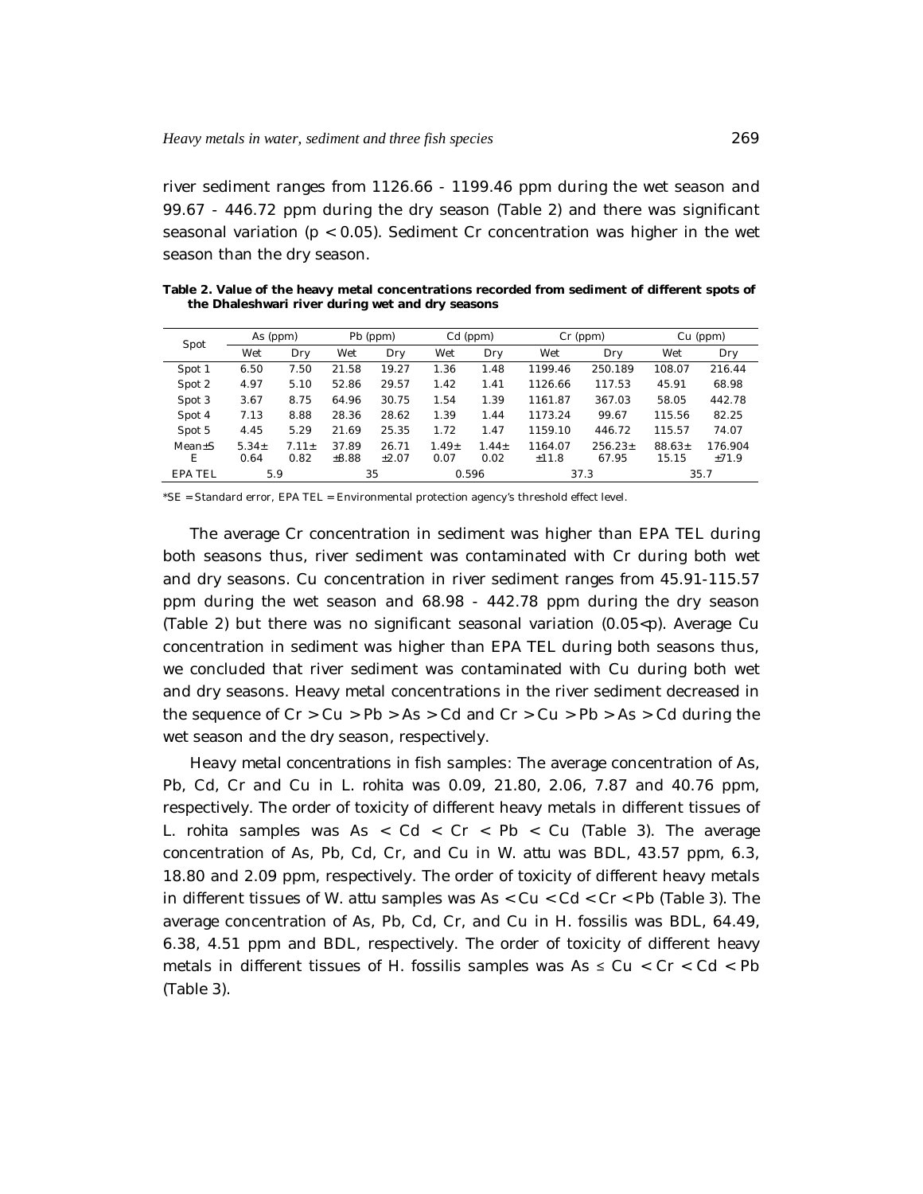river sediment ranges from 1126.66 - 1199.46 ppm during the wet season and 99.67 - 446.72 ppm during the dry season (Table 2) and there was significant seasonal variation ( $p < 0.05$ ). Sediment Cr concentration was higher in the wet season than the dry season.

**Table 2. Value of the heavy metal concentrations recorded from sediment of different spots of the Dhaleshwari river during wet and dry seasons**

| Spot           | As (ppm) |         | Pb (ppm) |         | Cd (ppm) |            | Cr (ppm) |           | Cu (ppm) |         |
|----------------|----------|---------|----------|---------|----------|------------|----------|-----------|----------|---------|
|                | Wet      | Dry     | Wet      | Dry     | Wet      | Dry        | Wet      | Dry       | Wet      | Dry     |
| Spot 1         | 6.50     | 7.50    | 21.58    | 19.27   | 1.36     | 1.48       | 1199.46  | 250.189   | 108.07   | 216.44  |
| Spot 2         | 4.97     | 5.10    | 52.86    | 29.57   | 1.42     | 1.41       | 1126.66  | 117.53    | 45.91    | 68.98   |
| Spot 3         | 3.67     | 8.75    | 64.96    | 30.75   | 1.54     | 1.39       | 1161.87  | 367.03    | 58.05    | 442.78  |
| Spot 4         | 7.13     | 8.88    | 28.36    | 28.62   | 1.39     | 1.44       | 1173.24  | 99.67     | 115.56   | 82.25   |
| Spot 5         | 4.45     | 5.29    | 21.69    | 25.35   | 1.72     | 1.47       | 1159.10  | 446.72    | 115.57   | 74.07   |
| $Mean+S$       | $5.34+$  | $7.11+$ | 37.89    | 26.71   | $1.49+$  | $1.44 \pm$ | 1164.07  | $256.23+$ | $88.63+$ | 176.904 |
| F              | 0.64     | 0.82    | ±8.88    | $+2.07$ | 0.07     | 0.02       | ±11.8    | 67.95     | 15.15    | $+71.9$ |
| <b>EPA TEL</b> | 5.9      |         | 35       |         | 0.596    |            | 37.3     |           | 35.7     |         |

\*SE = Standard error, EPA TEL = Environmental protection agency's threshold effect level.

The average Cr concentration in sediment was higher than EPA TEL during both seasons thus, river sediment was contaminated with Cr during both wet and dry seasons. Cu concentration in river sediment ranges from 45.91-115.57 ppm during the wet season and 68.98 - 442.78 ppm during the dry season (Table 2) but there was no significant seasonal variation  $(0.05 < p)$ . Average Cu concentration in sediment was higher than EPA TEL during both seasons thus, we concluded that river sediment was contaminated with Cu during both wet and dry seasons. Heavy metal concentrations in the river sediment decreased in the sequence of  $Cr > Cu > Pb > As > Cd$  and  $Cr > Cu > Pb > As > Cd$  during the wet season and the dry season, respectively.

*Heavy metal concentrations in fish samples*: The average concentration of As, Pb, Cd, Cr and Cu in *L. rohita* was 0.09, 21.80, 2.06, 7.87 and 40.76 ppm, respectively. The order of toxicity of different heavy metals in different tissues of *L. rohita* samples was As < Cd < Cr < Pb < Cu (Table 3). The average concentration of As, Pb, Cd, Cr, and Cu in *W. attu* was BDL, 43.57 ppm, 6.3, 18.80 and 2.09 ppm, respectively. The order of toxicity of different heavy metals in different tissues of *W. attu* samples was As < Cu < Cd < Cr < Pb (Table 3). The average concentration of As, Pb, Cd, Cr, and Cu in *H. fossilis* was BDL, 64.49, 6.38, 4.51 ppm and BDL, respectively. The order of toxicity of different heavy metals in different tissues of *H. fossilis* samples was As ≤ Cu < Cr < Cd < Pb (Table 3).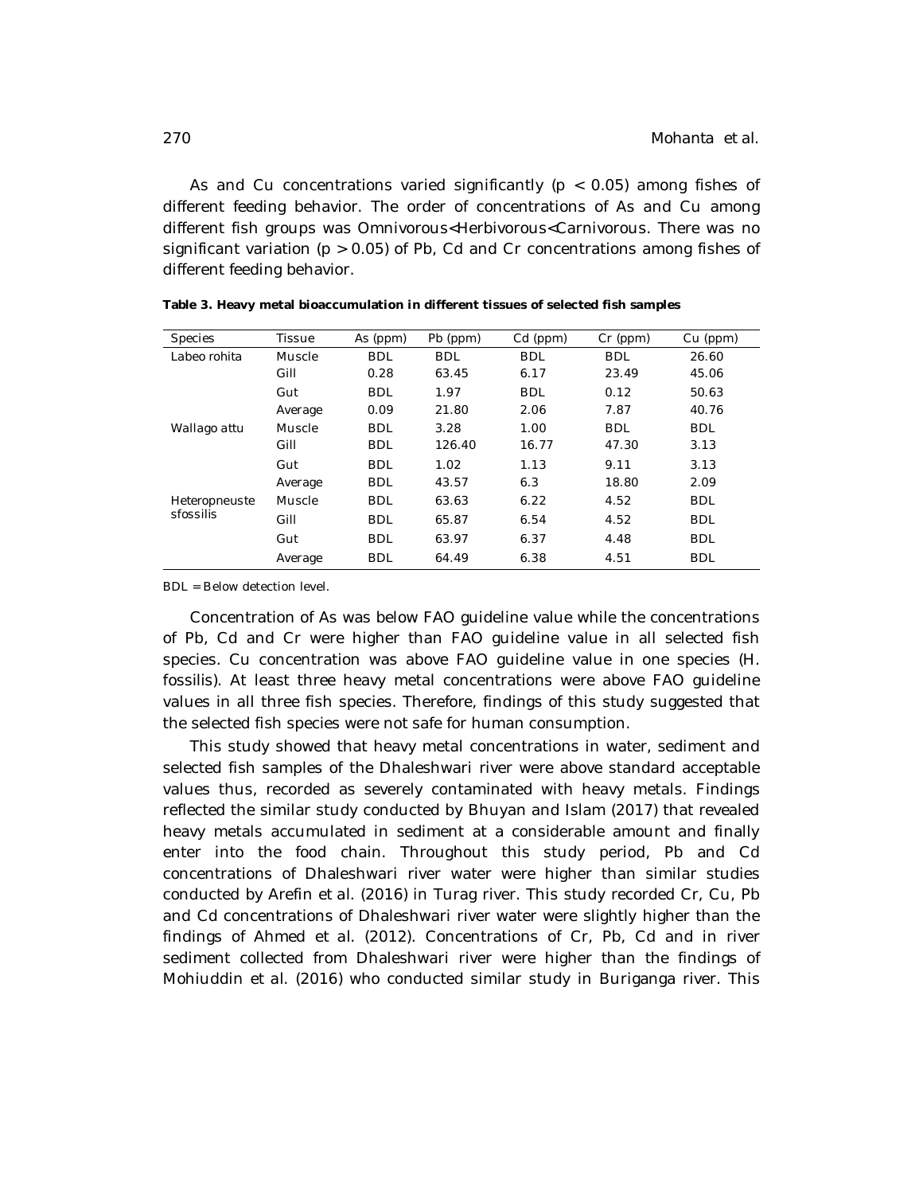As and Cu concentrations varied significantly ( $p < 0.05$ ) among fishes of different feeding behavior. The order of concentrations of As and Cu among different fish groups was Omnivorous<Herbivorous<Carnivorous. There was no significant variation ( $p > 0.05$ ) of Pb, Cd and Cr concentrations among fishes of different feeding behavior.

| <b>Species</b> | <b>Tissue</b> | As (ppm)   | Pb (ppm)   | Cd (ppm)   | $Cr$ (ppm) | $Cu$ (ppm) |
|----------------|---------------|------------|------------|------------|------------|------------|
| Labeo rohita   | Muscle        | <b>BDL</b> | <b>BDL</b> | <b>BDL</b> | <b>BDL</b> | 26.60      |
|                | Gill          | 0.28       | 63.45      | 6.17       | 23.49      | 45.06      |
|                | Gut           | <b>BDL</b> | 1.97       | <b>BDL</b> | 0.12       | 50.63      |
|                | Average       | 0.09       | 21.80      | 2.06       | 7.87       | 40.76      |
| Wallago attu   | Muscle        | <b>BDL</b> | 3.28       | 1.00       | <b>BDL</b> | <b>BDL</b> |
|                | Gill          | <b>BDL</b> | 126.40     | 16.77      | 47.30      | 3.13       |
|                | Gut           | <b>BDL</b> | 1.02       | 1.13       | 9.11       | 3.13       |
|                | Average       | <b>BDL</b> | 43.57      | 6.3        | 18.80      | 2.09       |
| Heteropneuste  | Muscle        | <b>BDL</b> | 63.63      | 6.22       | 4.52       | <b>BDL</b> |
| sfossilis      | Gill          | <b>BDL</b> | 65.87      | 6.54       | 4.52       | <b>BDL</b> |
|                | Gut           | <b>BDL</b> | 63.97      | 6.37       | 4.48       | <b>BDL</b> |
|                | Average       | <b>BDL</b> | 64.49      | 6.38       | 4.51       | <b>BDL</b> |

BDL = Below detection level.

Concentration of As was below FAO guideline value while the concentrations of Pb, Cd and Cr were higher than FAO guideline value in all selected fish species. Cu concentration was above FAO guideline value in one species (*H. fossilis*). At least three heavy metal concentrations were above FAO guideline values in all three fish species. Therefore, findings of this study suggested that the selected fish species were not safe for human consumption.

This study showed that heavy metal concentrations in water, sediment and selected fish samples of the Dhaleshwari river were above standard acceptable values thus, recorded as severely contaminated with heavy metals. Findings reflected the similar study conducted by Bhuyan and Islam (2017) that revealed heavy metals accumulated in sediment at a considerable amount and finally enter into the food chain. Throughout this study period, Pb and Cd concentrations of Dhaleshwari river water were higher than similar studies conducted by Arefin *et al.* (2016) in Turag river. This study recorded Cr, Cu, Pb and Cd concentrations of Dhaleshwari river water were slightly higher than the findings of Ahmed *et al.* (2012). Concentrations of Cr, Pb, Cd and in river sediment collected from Dhaleshwari river were higher than the findings of Mohiuddin *et al.* (2016) who conducted similar study in Buriganga river. This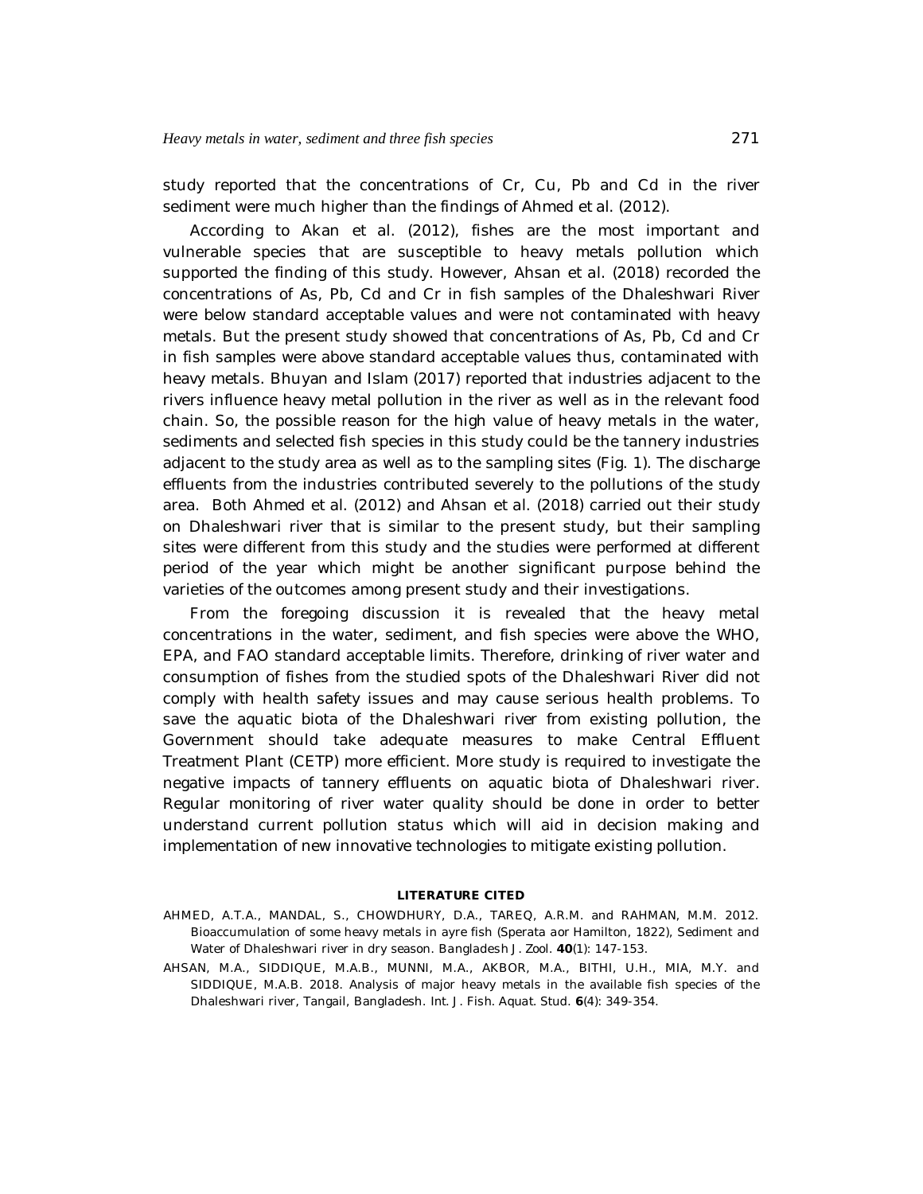study reported that the concentrations of Cr, Cu, Pb and Cd in the river sediment were much higher than the findings of Ahmed *et al.* (2012).

According to Akan *et al*. (2012), fishes are the most important and vulnerable species that are susceptible to heavy metals pollution which supported the finding of this study. However, Ahsan *et al.* (2018) recorded the concentrations of As, Pb, Cd and Cr in fish samples of the Dhaleshwari River were below standard acceptable values and were not contaminated with heavy metals. But the present study showed that concentrations of As, Pb, Cd and Cr in fish samples were above standard acceptable values thus, contaminated with heavy metals. Bhuyan and Islam (2017) reported that industries adjacent to the rivers influence heavy metal pollution in the river as well as in the relevant food chain. So, the possible reason for the high value of heavy metals in the water, sediments and selected fish species in this study could be the tannery industries adjacent to the study area as well as to the sampling sites (Fig. 1). The discharge effluents from the industries contributed severely to the pollutions of the study area. Both Ahmed *et al.* (2012) and Ahsan *et al.* (2018) carried out their study on Dhaleshwari river that is similar to the present study, but their sampling sites were different from this study and the studies were performed at different period of the year which might be another significant purpose behind the varieties of the outcomes among present study and their investigations.

From the foregoing discussion it is revealed that the heavy metal concentrations in the water, sediment, and fish species were above the WHO, EPA, and FAO standard acceptable limits. Therefore, drinking of river water and consumption of fishes from the studied spots of the Dhaleshwari River did not comply with health safety issues and may cause serious health problems. To save the aquatic biota of the Dhaleshwari river from existing pollution, the Government should take adequate measures to make Central Effluent Treatment Plant (CETP) more efficient. More study is required to investigate the negative impacts of tannery effluents on aquatic biota of Dhaleshwari river. Regular monitoring of river water quality should be done in order to better understand current pollution status which will aid in decision making and implementation of new innovative technologies to mitigate existing pollution.

#### **LITERATURE CITED**

- AHMED, A.T.A., MANDAL, S., CHOWDHURY, D.A., TAREQ, A.R.M. and RAHMAN, M.M. 2012. Bioaccumulation of some heavy metals in ayre fish (*Sperata aor* Hamilton, 1822), Sediment and Water of Dhaleshwari river in dry season. *Bangladesh J. Zool.* **40**(1): 147-153.
- AHSAN, M.A., SIDDIQUE, M.A.B., MUNNI, M.A., AKBOR, M.A., BITHI, U.H., MIA, M.Y. and SIDDIQUE, M.A.B. 2018. Analysis of major heavy metals in the available fish species of the Dhaleshwari river, Tangail, Bangladesh. *Int. J. Fish. Aquat. Stud*. **6**(4): 349-354.